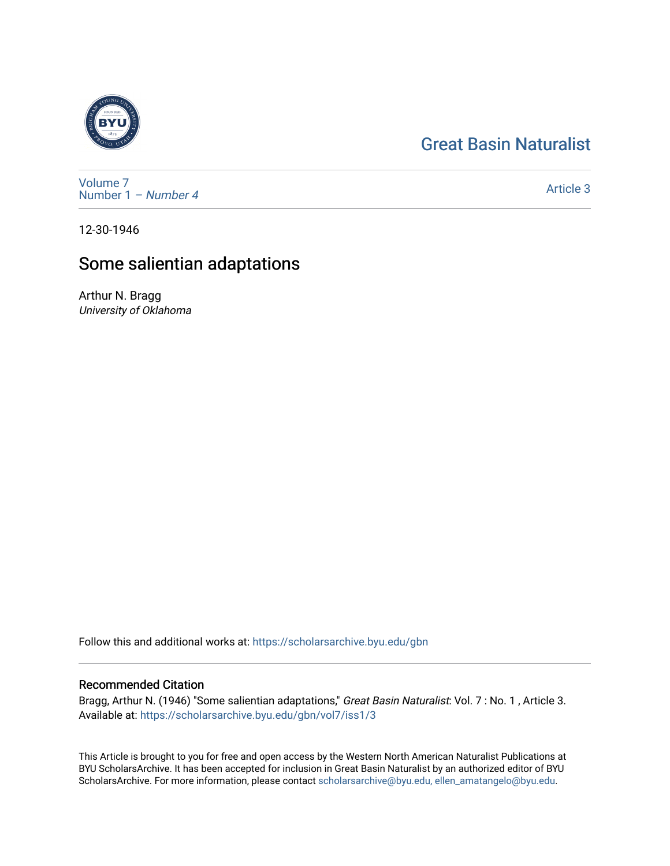## [Great Basin Naturalist](https://scholarsarchive.byu.edu/gbn)



[Volume 7](https://scholarsarchive.byu.edu/gbn/vol7) [Number 1](https://scholarsarchive.byu.edu/gbn/vol7/iss1) – Number 4

[Article 3](https://scholarsarchive.byu.edu/gbn/vol7/iss1/3) 

12-30-1946

## Some salientian adaptations

Arthur N. Bragg University of Oklahoma

Follow this and additional works at: [https://scholarsarchive.byu.edu/gbn](https://scholarsarchive.byu.edu/gbn?utm_source=scholarsarchive.byu.edu%2Fgbn%2Fvol7%2Fiss1%2F3&utm_medium=PDF&utm_campaign=PDFCoverPages) 

## Recommended Citation

Bragg, Arthur N. (1946) "Some salientian adaptations," Great Basin Naturalist: Vol. 7 : No. 1, Article 3. Available at: [https://scholarsarchive.byu.edu/gbn/vol7/iss1/3](https://scholarsarchive.byu.edu/gbn/vol7/iss1/3?utm_source=scholarsarchive.byu.edu%2Fgbn%2Fvol7%2Fiss1%2F3&utm_medium=PDF&utm_campaign=PDFCoverPages) 

This Article is brought to you for free and open access by the Western North American Naturalist Publications at BYU ScholarsArchive. It has been accepted for inclusion in Great Basin Naturalist by an authorized editor of BYU ScholarsArchive. For more information, please contact [scholarsarchive@byu.edu, ellen\\_amatangelo@byu.edu.](mailto:scholarsarchive@byu.edu,%20ellen_amatangelo@byu.edu)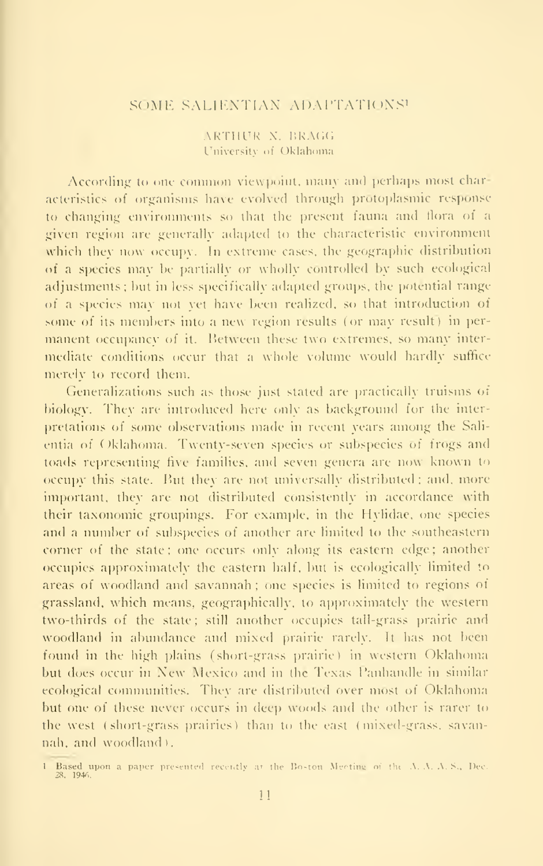## SOME SALIENTIAN ADAPTATIONS!

ARTHUR N. BRAGG University of Oklahoma

According to one common viewpoint, many and perhaps most characteristics of organisms have evolved through protoplasmic response to changing environments so that the present fauna and flora of a given region are generally adapted to the characteristic environment which they now occupy. In extreme cases, the geographic distribution of a species may be partially or wholly controlled by such ecological adjustments; but in less specifically adapted groups, the potential range of a species may not yet have been realized, so that introduction of some of its members into a new region results (or may result) in permanent occupancy of it. Between these two extremes, so many intermediate conditions occur that a whole volume would hardly suffice merely to record them.

Generalizations such as those just stated are practically truisms of biology. They are introduced here only as background for the interpretations of some observations made in recent years among the Salientia of Oklahoma. Twenty-seven species or subspecies of frogs and toads representing five families, and seven genera are now known to occupy this state. But they are not universally distributed; and, more important, they are not distributed consistently in accordance with their taxonomic groupings. For example, in the Hylidae, one species and a number of subspecies of another are limited to the southeastern corner of the state; one occurs only along its eastern edge; another occupies approximately the eastern half, but is ecologically limited to areas of woodland and savannah; one species is limited to regions of grassland, which means, geographically, to approximately the western two-thirds of the state; still another occupies tall-grass prairie and woodland in abundance and mixed prairie rarely. It has not been found in the high plains (short-grass prairie) in western Oklahoma but does occur in New Mexico and in the Texas Panhandle in similar ecological communities. They are distributed over most of Oklahoma but one of these never occurs in deep woods and the other is rarer to the west (short-grass prairies) than to the east (mixed-grass, savannah, and woodland).

<sup>&</sup>lt;sup>1</sup> Based upon a paper presented recently at the Boston Meeting of the A.A.A.S., Dec. 28, 1946.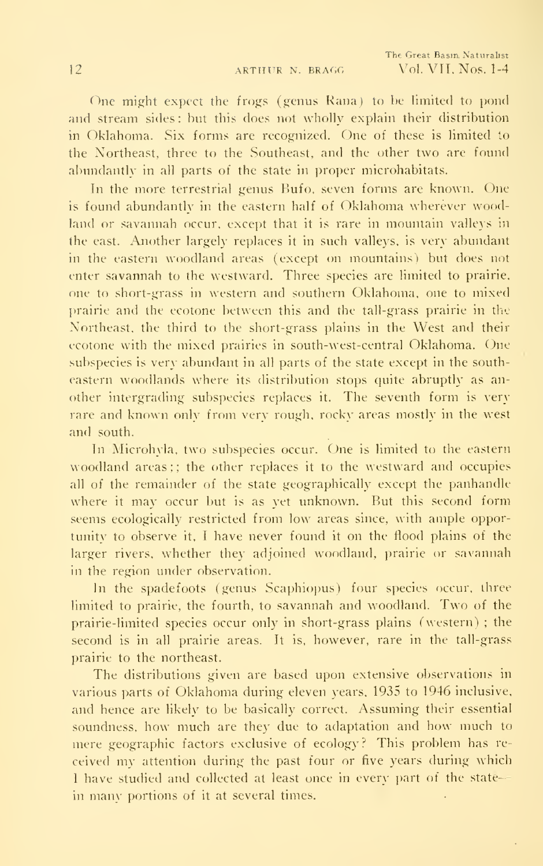C)ne might expect the frogs (genus Rana) to be limited to pond and stream sides: but this does not wholly explain their distribution in Oklahoma. Six forms are recognized. One of these is limited to the Northeast, three to the Southeast, and the other two are found abundantly in all parts of the state in proper microhabitats.

In the more terrestrial genus Bufo. seven forms are known. One is found abundantly in the eastern half of Oklahoma wherever woodland or savannah occur, except that it is rare in mountain valleys in the east. Another largely replaces it in such valleys, is very abundant in the eastern woodland areas (except on mountains) but does not enter savannah to the westward. Three species are limited to prairie, one to short-grass in western and southern Oklahoma, one to mixed prairie and the ecotone between this and the tall-grass prairie in the Northeast, the third to the short-grass plains in the West and their ecotone with the mixed prairies in south-west-central Oklahoma. One subspecies is very abundant in all parts of the state except in the southeastern woodlands where its distribution stops quite abruptly as an other intergrading subspecies replaces it. The seventh form is very rare and known only from very rough, rocky areas mostly in the west and south.

In Microhyla, two subspecies occur. One is limited to the eastern woodland areas ; ; the other replaces it to the westward and occupies all of the remainder of the state geographically except the panhandle where it may occur but is as yet unknown. But this second form seems ecologically restricted from low areas since, with ample opportunity to observe it. <sup>I</sup> have never found it on the flood plains of the larger rivers, whether they adjoined woodland, prairie or savannah in the region under observation.

In the spadefoots (genus Scaphiopus) four species occur, three limited to prairie, the fourth, to savannah and woodland. Two of the prairie-limited species occur only in short-grass plains (western) ; the second is in all prairie areas. It is, however, rare in the tall-grass prairie to the northeast.

The distributions given are based upon extensive observations in various parts of Oklahoma during eleven years, 1935 to 1946 inclusive, and hence are likely to be basically correct. Assuming their essential soundness, how much are they due to adaptation and how much to mere geographic factors exclusive of ecology? This problem has re ceived my attention during the past four or five years during which 1 have studied and collected at least once in every part of the statein many portions of it at several times.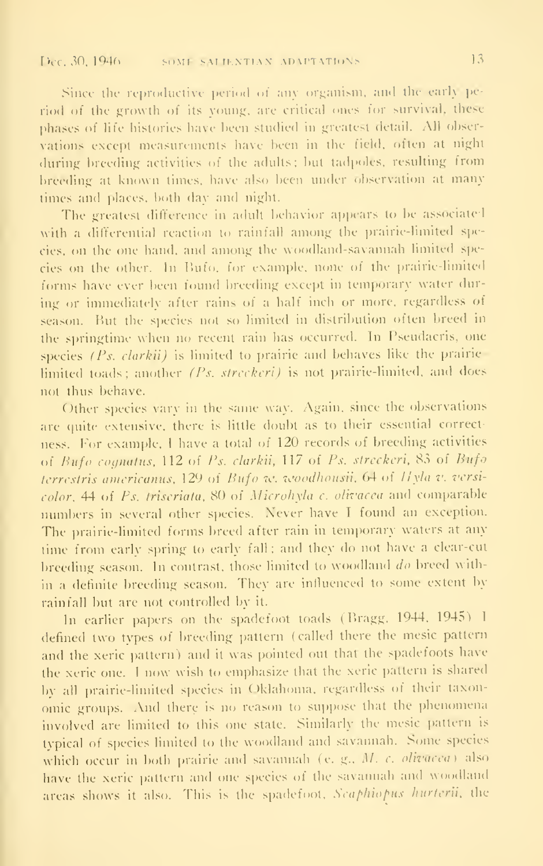Since the reproductive period of any organism, and the early period of the growth of its young, are critical ones for survival, these phases of life histories have been studied in greatest detail. All observations except measurements have been in the field, often at night during breeding activities of the adults; but tadpoles, resulting from breeding at known times, have also been under observation at many times and places, both day and night.

The greatest difference in adult behavior appears to be associated with a differential reaction to rainfall among the prairie-limited species, on the one hand, and among the woodland-savannah limited species on the other. In Bufo, for example, none of the prairie-limited forms have ever been found breeding except in temporary water during or immediately after rains of a half inch or more, regardless of season. But the species not so limited in distribution often breed in the springtime when no recent rain has occurred. In Pseudacris, one species  $(Ps, clarkii)$  is limited to prairie and behaves like the prairie limited toads; another (Ps. streckeri) is not prairie-limited, and does not thus behave.

Other species vary in the same way. Again, since the observations are quite extensive, there is little doubt as to their essential correctness. For example, I have a total of 120 records of breeding activities of Bufo cognatus, 112 of Ps. clarkii, 117 of Ps. streckeri, 83 of Bufo terrestris americanus, 129 of Bufo w. woodhousii. 64 of Hyla v. versicolor, 44 of Ps. triscriata, 80 of Microhyla c. olivacea and comparable numbers in several other species. Never have I found an exception. The prairie-limited forms breed after rain in temporary waters at any time from early spring to early fall; and they do not have a clear-cut breeding season. In contrast, those limited to woodland do breed within a definite breeding season. They are influenced to some extent by rainfall but are not controlled by it.

In earlier papers on the spadefoot toads (Bragg, 1944, 1945) I defined two types of breeding pattern (called there the mesic pattern and the xeric pattern) and it was pointed out that the spadefoots have the xeric one. I now wish to emphasize that the xeric pattern is shared by all prairie-limited species in Oklahoma, regardless of their taxonomic groups. And there is no reason to suppose that the phenomena involved are limited to this one state. Similarly the mesic pattern is typical of species limited to the woodland and savannah. Some species which occur in both prairie and savannah (e. g., M. c. olivacea) also have the xeric pattern and one species of the savannah and woodland areas shows it also. This is the spadefoot, Scaphiopus hurterii, the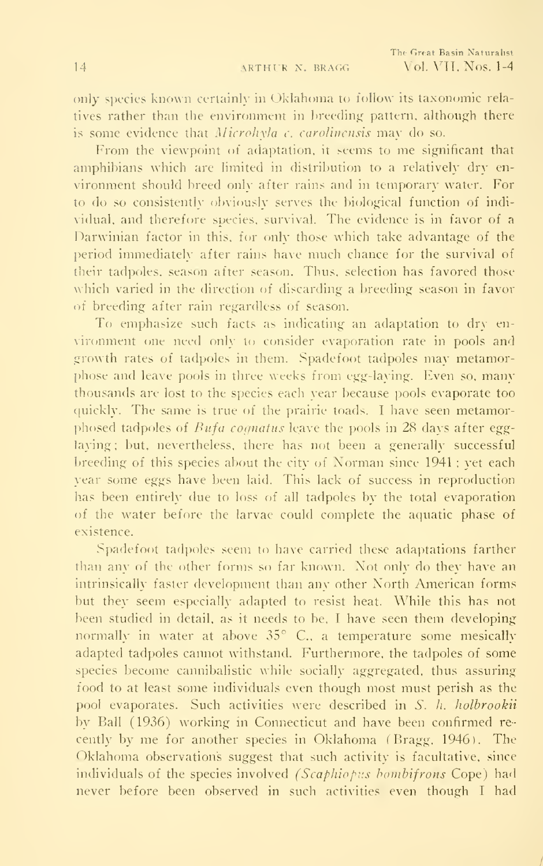only species known certainly in Oklahoma to follow its taxonomic relatives rather than the environment in breeding pattern, although there is some evidence that Microhyla c. caroliucnsis may do so.

From the viewpoint of adaptation, it seems to me significant that amphibians which are limited in distribution to a relatively dry en vironment should breed only after rains and in temporary water. For to do so consistently obviously serves the biological function of individual, and therefore species, survival. The evidence is in favor of a Darwinian factor in this, for only those which take advantage of the period immediately after rains have much chance for the survival of their tadpoles, season after season. Thus, selection has favored those which varied in the direction of discarding a breeding season in favor of breeding after rain regardless of season.

To emphasize such facts as indicating an adaptation to dry en vironment one need only to consider evaporation rate in pools and growth rates of tadpoles in them. Spadefoot tadpoles may metamorphose and leave pools in three weeks from egg-laving. Even so, many thousands are lost to the species each vear because pools evaporate too quickly. The same is true of the prairie toads. I have seen metamorphosed tadpoles of  $Butfa$  coquatus leave the pools in 28 days after egglaying; but, nevertheless, there has not been a generally successful breeding of this species about the city of Norman since 1941 ; yet each year some eggs have been laid. This lack of success in reproduction has been entirely due to loss of all tadpoles by the total evaporation of the water before the larvae could complete the aquatic phase of existence.

Spadefoot tadpoles seem to have carried these adaptations farther than any of the other forms so far known. Not only do they have an intrinsically faster development than anv other North American forms but they seem especially adapted to resist heat. While this has not been studied in detail, as it needs to be, <sup>I</sup> have seen them developing normally in water at above 35° C. a temperature some mesically adapted tadpoles cannot withstand. Furthermore, the tadpoles of some species become cannibalistic while socially aggregated, thus assuring food to at least some individuals even though most must perish as the pool evaporates. Such activities were described in S. h. holbrookii by Ball (1936) working in Connecticut and have been confirmed re cently by me for another species in Oklahoma (Bragg. 1946). The Oklahoma observations suggest that such activitv is facultative, since individuals of the species involved  $(Scathiopt)$  hombifrons Cope) had never before been observed in such activities even though <sup>I</sup> had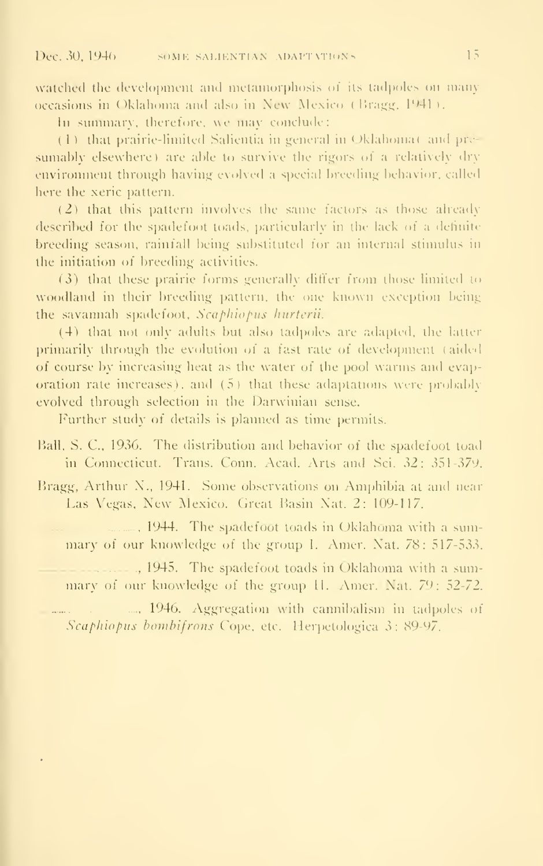watched the development and metamorphosis of its tadpoles on many occasions in Oklahoma and also in New Mexico (Bragg, 1941).

In summary, therefore, we may conclude:

(1) that prairie-limited Salientia in general in Oklahoma) and presumably elsewhere) are able to survive the rigors of a relatively dry environment through having evolved a special breeding behavior, called here the xeric pattern.

(2) that this pattern involves the same factors as those already described for the spadefoot toads, particularly in the lack of a definite breeding season, rainfall being substituted for an internal stimulus in the initiation of breeding activities.

 $(3)$  that these prairie forms generally differ from those limited to woodland in their breeding pattern, the one known exception being the savannah spadefoot, Scaphiopus hurterii.

(4) that not only adults but also tadpoles are adapted, the latter primarily through the evolution of a fast rate of development (aided of course by increasing heat as the water of the pool warms and evaporation rate increases), and  $(5)$  that these adaptations were probably evolved through selection in the Darwinian sense.

Further study of details is planned as time permits.

Ball, S. C., 1936. The distribution and behavior of the spadefoot toad in Connecticut. Trans. Conn. Acad. Arts and Sci. 32: 351-379.

Bragg, Arthur N., 1941. Some observations on Amphibia at and near Las Vegas, New Mexico. Great Basin Nat. 2: 109-117.

......., 1944. The spadefoot toads in Oklahoma with a summary of our knowledge of the group 1. Amer. Nat. 78: 517-533.

mary of our knowledge of the group 11. Amer. Nat. 79: 52-72.

..., 1946. Aggregation with cannibalism in tadpoles of Scaphiopus bombifrons Cope, etc. Herpetologica 3: 89-97.